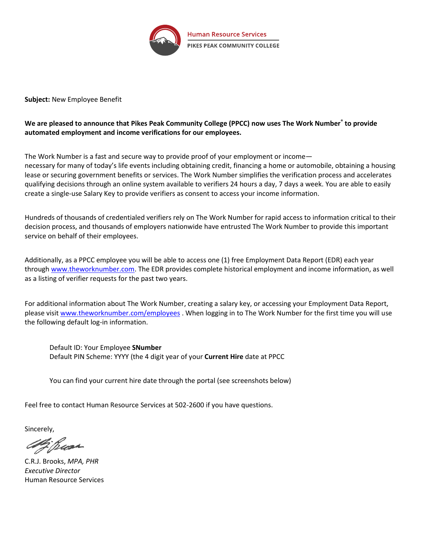

**Subject:** New Employee Benefit

## **We are pleased to announce that Pikes Peak Community College (PPCC) now uses The Work Number® to provide automated employment and income verifications for our employees.**

The Work Number is a fast and secure way to provide proof of your employment or income necessary for many of today's life events including obtaining credit, financing a home or automobile, obtaining a housing lease or securing government benefits or services. The Work Number simplifies the verification process and accelerates qualifying decisions through an online system available to verifiers 24 hours a day, 7 days a week. You are able to easily create a single-use Salary Key to provide verifiers as consent to access your income information.

Hundreds of thousands of credentialed verifiers rely on The Work Number for rapid access to information critical to their decision process, and thousands of employers nationwide have entrusted The Work Number to provide this important service on behalf of their employees.

Additionally, as a PPCC employee you will be able to access one (1) free Employment Data Report (EDR) each year through [www.theworknumber.com.](http://www.theworknumber.com/) The EDR provides complete historical employment and income information, as well as a listing of verifier requests for the past two years.

For additional information about The Work Number, creating a salary key, or accessing your Employment Data Report, please visit [www.theworknumber.com/employees](http://www.theworknumber.com/employees) . When logging in to The Work Number for the first time you will use the following default log-in information.

Default ID: Your Employee **SNumber** Default PIN Scheme: YYYY (the 4 digit year of your **Current Hire** date at PPCC

You can find your current hire date through the portal (see screenshots below)

Feel free to contact Human Resource Services at 502-2600 if you have questions.

Sincerely,

2 Busa

C.R.J. Brooks, *MPA, PHR Executive Director* Human Resource Services